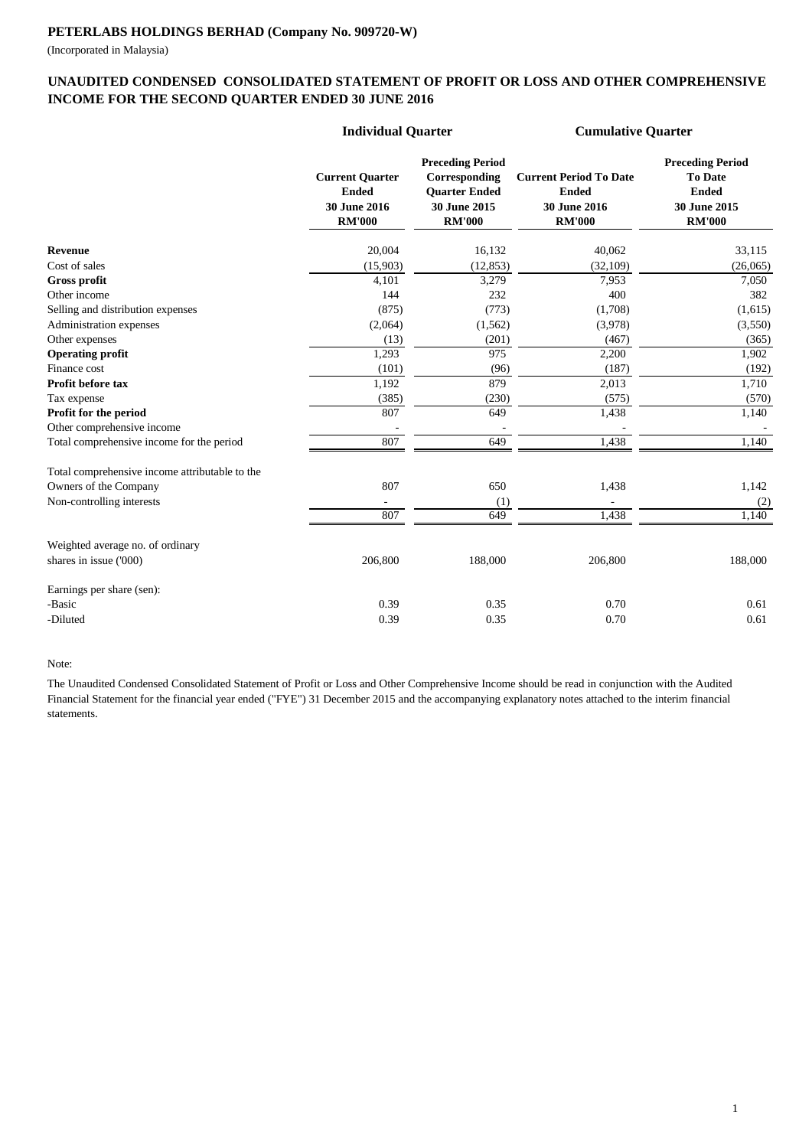(Incorporated in Malaysia)

### **UNAUDITED CONDENSED CONSOLIDATED STATEMENT OF PROFIT OR LOSS AND OTHER COMPREHENSIVE INCOME FOR THE SECOND QUARTER ENDED 30 JUNE 2016**

|                                                | <b>Individual Quarter</b>                                               |                                                                                                   | <b>Cumulative Quarter</b>                                                             |                                                                                            |  |
|------------------------------------------------|-------------------------------------------------------------------------|---------------------------------------------------------------------------------------------------|---------------------------------------------------------------------------------------|--------------------------------------------------------------------------------------------|--|
|                                                | <b>Current Quarter</b><br><b>Ended</b><br>30 June 2016<br><b>RM'000</b> | <b>Preceding Period</b><br>Corresponding<br><b>Quarter Ended</b><br>30 June 2015<br><b>RM'000</b> | <b>Current Period To Date</b><br><b>Ended</b><br><b>30 June 2016</b><br><b>RM'000</b> | <b>Preceding Period</b><br><b>To Date</b><br><b>Ended</b><br>30 June 2015<br><b>RM'000</b> |  |
| Revenue                                        | 20,004                                                                  | 16,132                                                                                            | 40,062                                                                                | 33,115                                                                                     |  |
| Cost of sales                                  | (15,903)                                                                | (12, 853)                                                                                         | (32, 109)                                                                             | (26,065)                                                                                   |  |
| <b>Gross profit</b>                            | 4,101                                                                   | 3,279                                                                                             | 7,953                                                                                 | 7,050                                                                                      |  |
| Other income                                   | 144                                                                     | 232                                                                                               | 400                                                                                   | 382                                                                                        |  |
| Selling and distribution expenses              | (875)                                                                   | (773)                                                                                             | (1,708)                                                                               | (1,615)                                                                                    |  |
| Administration expenses                        | (2,064)                                                                 | (1, 562)                                                                                          | (3,978)                                                                               | (3,550)                                                                                    |  |
| Other expenses                                 | (13)                                                                    | (201)                                                                                             | (467)                                                                                 | (365)                                                                                      |  |
| <b>Operating profit</b>                        | 1,293                                                                   | 975                                                                                               | 2,200                                                                                 | 1,902                                                                                      |  |
| Finance cost                                   | (101)                                                                   | (96)                                                                                              | (187)                                                                                 | (192)                                                                                      |  |
| Profit before tax                              | 1,192                                                                   | 879                                                                                               | 2,013                                                                                 | 1,710                                                                                      |  |
| Tax expense                                    | (385)                                                                   | (230)                                                                                             | (575)                                                                                 | (570)                                                                                      |  |
| Profit for the period                          | 807                                                                     | 649                                                                                               | 1,438                                                                                 | 1,140                                                                                      |  |
| Other comprehensive income                     |                                                                         |                                                                                                   |                                                                                       |                                                                                            |  |
| Total comprehensive income for the period      | 807                                                                     | 649                                                                                               | 1,438                                                                                 | 1,140                                                                                      |  |
| Total comprehensive income attributable to the |                                                                         |                                                                                                   |                                                                                       |                                                                                            |  |
| Owners of the Company                          | 807                                                                     | 650                                                                                               | 1,438                                                                                 | 1,142                                                                                      |  |
| Non-controlling interests                      |                                                                         | (1)                                                                                               |                                                                                       | (2)                                                                                        |  |
|                                                | 807                                                                     | 649                                                                                               | 1,438                                                                                 | 1.140                                                                                      |  |
| Weighted average no. of ordinary               |                                                                         |                                                                                                   |                                                                                       |                                                                                            |  |
| shares in issue ('000)                         | 206,800                                                                 | 188,000                                                                                           | 206,800                                                                               | 188,000                                                                                    |  |
| Earnings per share (sen):                      |                                                                         |                                                                                                   |                                                                                       |                                                                                            |  |
| -Basic                                         | 0.39                                                                    | 0.35                                                                                              | 0.70                                                                                  | 0.61                                                                                       |  |
| -Diluted                                       | 0.39                                                                    | 0.35                                                                                              | 0.70                                                                                  | 0.61                                                                                       |  |

Note:

The Unaudited Condensed Consolidated Statement of Profit or Loss and Other Comprehensive Income should be read in conjunction with the Audited Financial Statement for the financial year ended ("FYE") 31 December 2015 and the accompanying explanatory notes attached to the interim financial statements.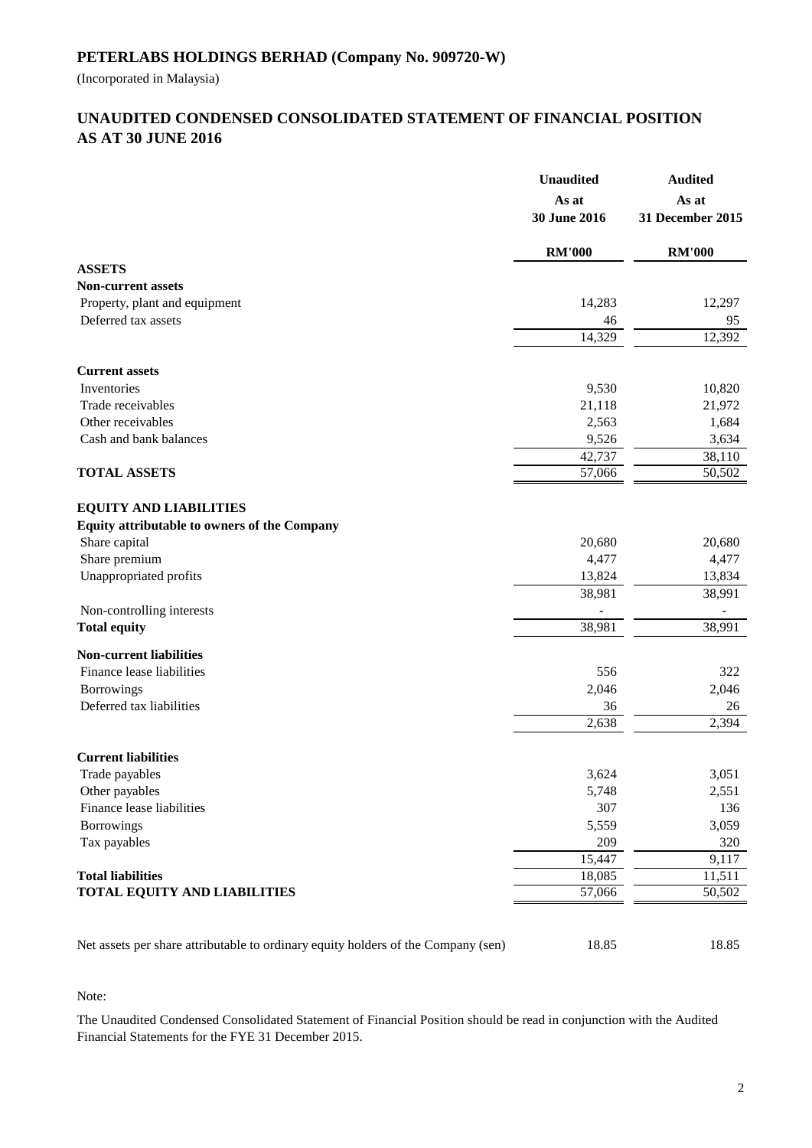(Incorporated in Malaysia)

# **AS AT 30 JUNE 2016 UNAUDITED CONDENSED CONSOLIDATED STATEMENT OF FINANCIAL POSITION**

|                                                                                   | <b>Unaudited</b><br>As at<br>30 June 2016 | <b>Audited</b><br>As at<br>31 December 2015 |  |
|-----------------------------------------------------------------------------------|-------------------------------------------|---------------------------------------------|--|
|                                                                                   | <b>RM'000</b>                             | <b>RM'000</b>                               |  |
| <b>ASSETS</b>                                                                     |                                           |                                             |  |
| <b>Non-current assets</b>                                                         |                                           |                                             |  |
| Property, plant and equipment                                                     | 14,283                                    | 12,297                                      |  |
| Deferred tax assets                                                               | 46                                        | 95                                          |  |
|                                                                                   | 14,329                                    | 12,392                                      |  |
| <b>Current assets</b>                                                             |                                           |                                             |  |
| Inventories                                                                       | 9,530                                     | 10,820                                      |  |
| Trade receivables                                                                 | 21,118                                    | 21,972                                      |  |
| Other receivables                                                                 | 2,563                                     | 1,684                                       |  |
| Cash and bank balances                                                            | 9,526                                     | 3,634                                       |  |
|                                                                                   | 42,737                                    | 38,110                                      |  |
| <b>TOTAL ASSETS</b>                                                               | 57,066                                    | 50,502                                      |  |
| <b>EQUITY AND LIABILITIES</b>                                                     |                                           |                                             |  |
| Equity attributable to owners of the Company                                      |                                           |                                             |  |
| Share capital                                                                     | 20,680                                    | 20,680                                      |  |
| Share premium                                                                     | 4,477                                     | 4,477                                       |  |
| Unappropriated profits                                                            | 13,824                                    | 13,834                                      |  |
|                                                                                   | 38,981                                    | 38,991                                      |  |
| Non-controlling interests                                                         |                                           |                                             |  |
| <b>Total equity</b>                                                               | 38,981                                    | 38,991                                      |  |
| <b>Non-current liabilities</b>                                                    |                                           |                                             |  |
| Finance lease liabilities                                                         | 556                                       | 322                                         |  |
| Borrowings                                                                        | 2,046                                     | 2,046                                       |  |
| Deferred tax liabilities                                                          | 36                                        | 26                                          |  |
|                                                                                   | 2,638                                     | 2,394                                       |  |
| <b>Current liabilities</b>                                                        |                                           |                                             |  |
| Trade payables                                                                    | 3,624                                     | 3,051                                       |  |
| Other payables                                                                    | 5,748                                     | 2,551                                       |  |
| Finance lease liabilities                                                         | 307                                       | 136                                         |  |
| <b>Borrowings</b>                                                                 | 5,559                                     | 3,059                                       |  |
| Tax payables                                                                      | 209                                       | 320                                         |  |
|                                                                                   | 15,447                                    | 9,117                                       |  |
| <b>Total liabilities</b>                                                          | 18,085                                    | 11,511                                      |  |
| <b>TOTAL EQUITY AND LIABILITIES</b>                                               | 57,066                                    | 50,502                                      |  |
|                                                                                   |                                           |                                             |  |
| Net assets per share attributable to ordinary equity holders of the Company (sen) | 18.85                                     | 18.85                                       |  |

## Note:

The Unaudited Condensed Consolidated Statement of Financial Position should be read in conjunction with the Audited Financial Statements for the FYE 31 December 2015.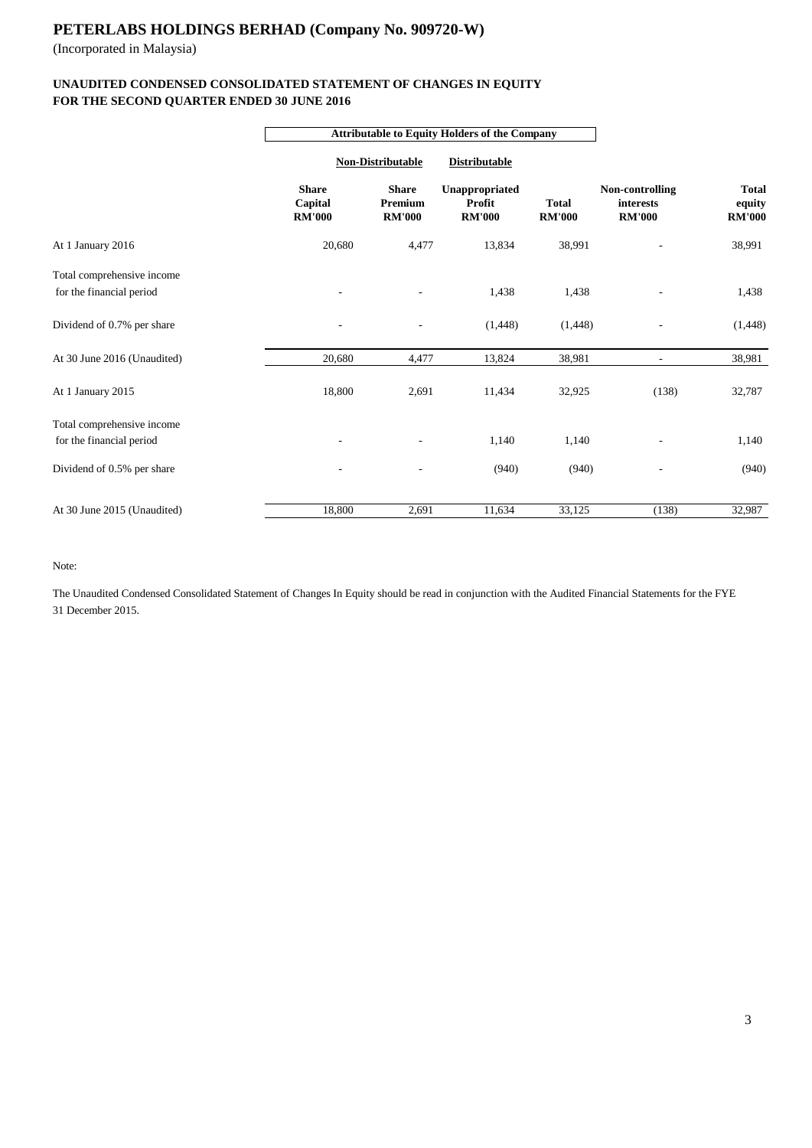(Incorporated in Malaysia)

## **FOR THE SECOND QUARTER ENDED 30 JUNE 2016 UNAUDITED CONDENSED CONSOLIDATED STATEMENT OF CHANGES IN EQUITY**

|                             |                                          | <b>Attributable to Equity Holders of the Company</b> |                                           |                               |                                               |                                         |  |
|-----------------------------|------------------------------------------|------------------------------------------------------|-------------------------------------------|-------------------------------|-----------------------------------------------|-----------------------------------------|--|
|                             |                                          | <b>Non-Distributable</b>                             |                                           | <b>Distributable</b>          |                                               |                                         |  |
|                             | <b>Share</b><br>Capital<br><b>RM'000</b> | <b>Share</b><br>Premium<br><b>RM'000</b>             | Unappropriated<br>Profit<br><b>RM'000</b> | <b>Total</b><br><b>RM'000</b> | Non-controlling<br>interests<br><b>RM'000</b> | <b>Total</b><br>equity<br><b>RM'000</b> |  |
| At 1 January 2016           | 20,680                                   | 4,477                                                | 13,834                                    | 38,991                        |                                               | 38,991                                  |  |
| Total comprehensive income  |                                          |                                                      |                                           |                               |                                               |                                         |  |
| for the financial period    |                                          |                                                      | 1,438                                     | 1,438                         |                                               | 1,438                                   |  |
| Dividend of 0.7% per share  |                                          |                                                      | (1,448)                                   | (1,448)                       |                                               | (1, 448)                                |  |
| At 30 June 2016 (Unaudited) | 20,680                                   | 4,477                                                | 13,824                                    | 38,981                        | $\overline{\phantom{a}}$                      | 38,981                                  |  |
| At 1 January 2015           | 18,800                                   | 2,691                                                | 11,434                                    | 32,925                        | (138)                                         | 32,787                                  |  |
| Total comprehensive income  |                                          |                                                      |                                           |                               |                                               |                                         |  |
| for the financial period    |                                          |                                                      | 1,140                                     | 1,140                         |                                               | 1,140                                   |  |
| Dividend of 0.5% per share  |                                          |                                                      | (940)                                     | (940)                         |                                               | (940)                                   |  |
| At 30 June 2015 (Unaudited) | 18,800                                   | 2,691                                                | 11,634                                    | 33,125                        | (138)                                         | 32,987                                  |  |

Note:

The Unaudited Condensed Consolidated Statement of Changes In Equity should be read in conjunction with the Audited Financial Statements for the FYE 31 December 2015.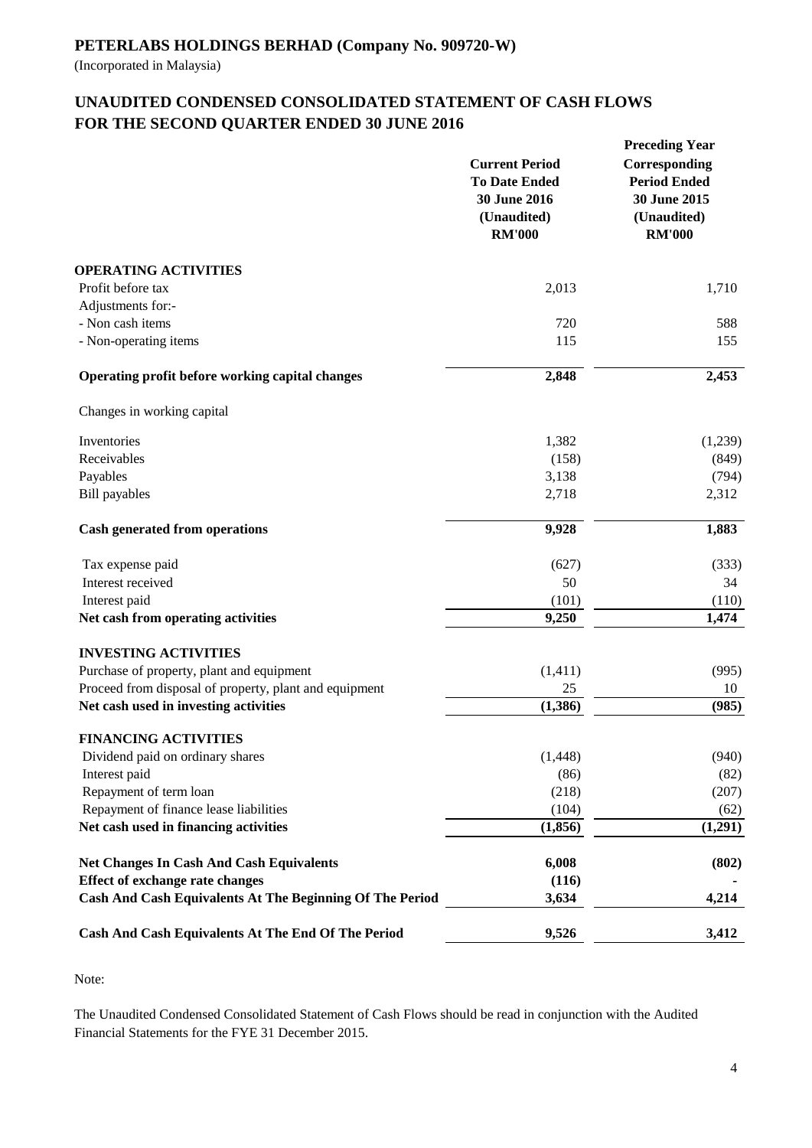(Incorporated in Malaysia)

# **UNAUDITED CONDENSED CONSOLIDATED STATEMENT OF CASH FLOWS FOR THE SECOND QUARTER ENDED 30 JUNE 2016**

|                                                          | <b>Current Period</b><br><b>To Date Ended</b><br>30 June 2016<br>(Unaudited)<br><b>RM'000</b> | <b>Preceding Year</b><br>Corresponding<br><b>Period Ended</b><br>30 June 2015<br>(Unaudited)<br><b>RM'000</b> |
|----------------------------------------------------------|-----------------------------------------------------------------------------------------------|---------------------------------------------------------------------------------------------------------------|
| <b>OPERATING ACTIVITIES</b>                              |                                                                                               |                                                                                                               |
| Profit before tax                                        | 2,013                                                                                         | 1,710                                                                                                         |
| Adjustments for:-                                        |                                                                                               |                                                                                                               |
| - Non cash items                                         | 720                                                                                           | 588                                                                                                           |
| - Non-operating items                                    | 115                                                                                           | 155                                                                                                           |
| Operating profit before working capital changes          | 2,848                                                                                         | 2,453                                                                                                         |
| Changes in working capital                               |                                                                                               |                                                                                                               |
| Inventories                                              | 1,382                                                                                         | (1,239)                                                                                                       |
| Receivables                                              | (158)                                                                                         | (849)                                                                                                         |
| Payables                                                 | 3,138                                                                                         | (794)                                                                                                         |
| <b>Bill</b> payables                                     | 2,718                                                                                         | 2,312                                                                                                         |
| <b>Cash generated from operations</b>                    | 9,928                                                                                         | 1,883                                                                                                         |
| Tax expense paid                                         | (627)                                                                                         | (333)                                                                                                         |
| Interest received                                        | 50                                                                                            | 34                                                                                                            |
| Interest paid                                            | (101)                                                                                         | (110)                                                                                                         |
| Net cash from operating activities                       | 9,250                                                                                         | 1,474                                                                                                         |
| <b>INVESTING ACTIVITIES</b>                              |                                                                                               |                                                                                                               |
| Purchase of property, plant and equipment                | (1, 411)                                                                                      | (995)                                                                                                         |
| Proceed from disposal of property, plant and equipment   | 25                                                                                            | 10                                                                                                            |
| Net cash used in investing activities                    | (1, 386)                                                                                      | (985)                                                                                                         |
| <b>FINANCING ACTIVITIES</b>                              |                                                                                               |                                                                                                               |
| Dividend paid on ordinary shares                         | (1, 448)                                                                                      | (940)                                                                                                         |
| Interest paid<br>Repayment of term loan                  | (86)<br>(218)                                                                                 | (82)                                                                                                          |
| Repayment of finance lease liabilities                   | (104)                                                                                         | (207)<br>(62)                                                                                                 |
| Net cash used in financing activities                    | (1, 856)                                                                                      | (1,291)                                                                                                       |
|                                                          |                                                                                               |                                                                                                               |
| <b>Net Changes In Cash And Cash Equivalents</b>          | 6,008                                                                                         | (802)                                                                                                         |
| Effect of exchange rate changes                          | (116)                                                                                         |                                                                                                               |
| Cash And Cash Equivalents At The Beginning Of The Period | 3,634                                                                                         | 4,214                                                                                                         |
| Cash And Cash Equivalents At The End Of The Period       | 9,526                                                                                         | 3,412                                                                                                         |

Note:

The Unaudited Condensed Consolidated Statement of Cash Flows should be read in conjunction with the Audited Financial Statements for the FYE 31 December 2015.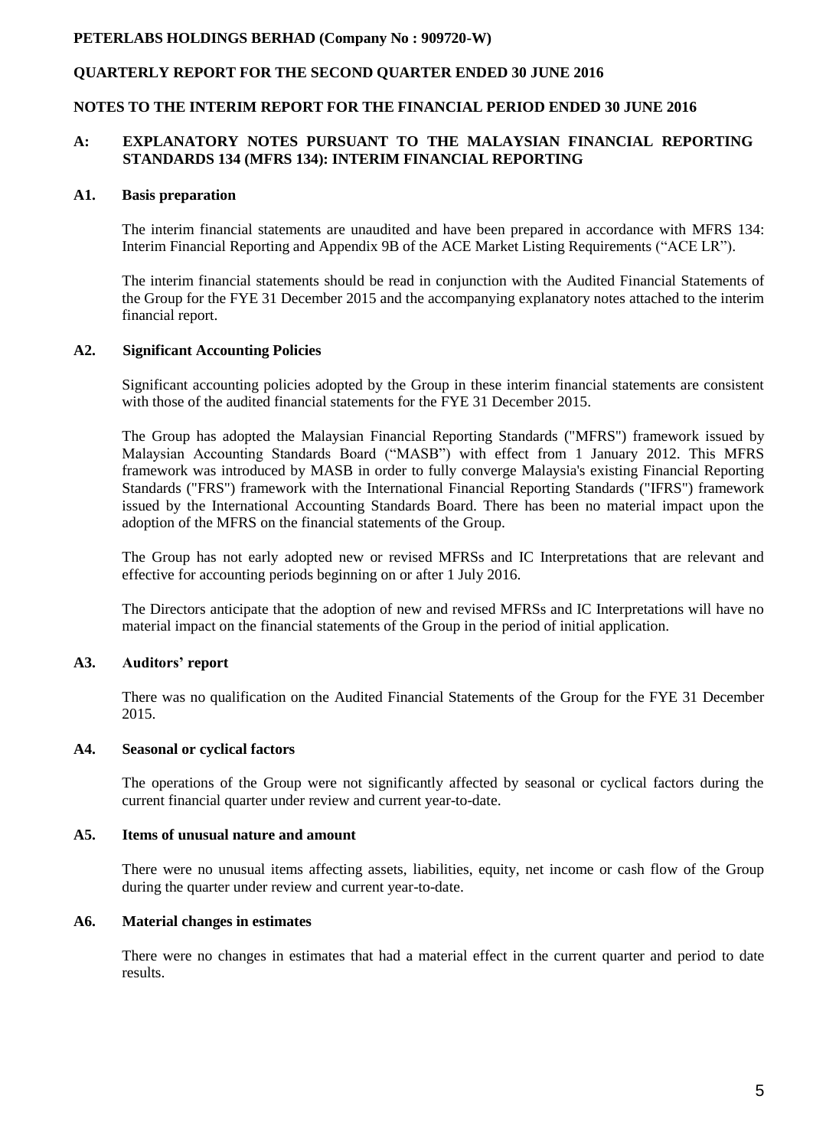## **QUARTERLY REPORT FOR THE SECOND QUARTER ENDED 30 JUNE 2016**

### **NOTES TO THE INTERIM REPORT FOR THE FINANCIAL PERIOD ENDED 30 JUNE 2016**

### **A: EXPLANATORY NOTES PURSUANT TO THE MALAYSIAN FINANCIAL REPORTING STANDARDS 134 (MFRS 134): INTERIM FINANCIAL REPORTING**

#### **A1. Basis preparation**

The interim financial statements are unaudited and have been prepared in accordance with MFRS 134: Interim Financial Reporting and Appendix 9B of the ACE Market Listing Requirements ("ACE LR").

The interim financial statements should be read in conjunction with the Audited Financial Statements of the Group for the FYE 31 December 2015 and the accompanying explanatory notes attached to the interim financial report.

### **A2. Significant Accounting Policies**

Significant accounting policies adopted by the Group in these interim financial statements are consistent with those of the audited financial statements for the FYE 31 December 2015.

The Group has adopted the Malaysian Financial Reporting Standards ("MFRS") framework issued by Malaysian Accounting Standards Board ("MASB") with effect from 1 January 2012. This MFRS framework was introduced by MASB in order to fully converge Malaysia's existing Financial Reporting Standards ("FRS") framework with the International Financial Reporting Standards ("IFRS") framework issued by the International Accounting Standards Board. There has been no material impact upon the adoption of the MFRS on the financial statements of the Group.

The Group has not early adopted new or revised MFRSs and IC Interpretations that are relevant and effective for accounting periods beginning on or after 1 July 2016.

The Directors anticipate that the adoption of new and revised MFRSs and IC Interpretations will have no material impact on the financial statements of the Group in the period of initial application.

### **A3. Auditors' report**

There was no qualification on the Audited Financial Statements of the Group for the FYE 31 December 2015.

#### **A4. Seasonal or cyclical factors**

The operations of the Group were not significantly affected by seasonal or cyclical factors during the current financial quarter under review and current year-to-date.

#### **A5. Items of unusual nature and amount**

There were no unusual items affecting assets, liabilities, equity, net income or cash flow of the Group during the quarter under review and current year-to-date.

### **A6. Material changes in estimates**

There were no changes in estimates that had a material effect in the current quarter and period to date results.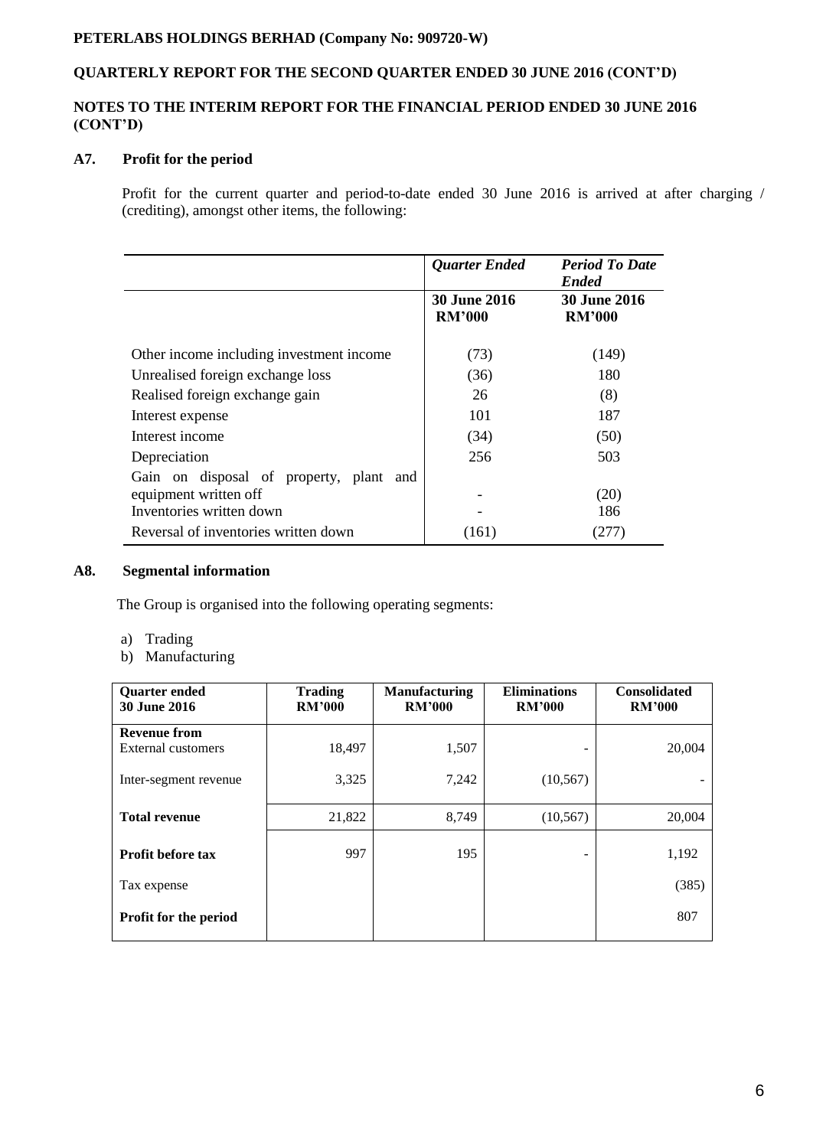# **QUARTERLY REPORT FOR THE SECOND QUARTER ENDED 30 JUNE 2016 (CONT'D)**

## **NOTES TO THE INTERIM REPORT FOR THE FINANCIAL PERIOD ENDED 30 JUNE 2016 (CONT'D)**

## **A7. Profit for the period**

Profit for the current quarter and period-to-date ended 30 June 2016 is arrived at after charging / (crediting), amongst other items, the following:

|                                                                                                 | <b>Quarter Ended</b>                 | <b>Period To Date</b><br><b>Ended</b> |
|-------------------------------------------------------------------------------------------------|--------------------------------------|---------------------------------------|
|                                                                                                 | <b>30 June 2016</b><br><b>RM'000</b> | <b>30 June 2016</b><br><b>RM'000</b>  |
| Other income including investment income                                                        | (73)                                 | (149)                                 |
| Unrealised foreign exchange loss                                                                | (36)                                 | 180                                   |
| Realised foreign exchange gain                                                                  | 26                                   | (8)                                   |
| Interest expense                                                                                | 101                                  | 187                                   |
| Interest income                                                                                 | (34)                                 | (50)                                  |
| Depreciation                                                                                    | 256                                  | 503                                   |
| Gain on disposal of property, plant<br>and<br>equipment written off<br>Inventories written down |                                      | (20)<br>186                           |
| Reversal of inventories written down                                                            | (161)                                | 277)                                  |

### **A8. Segmental information**

The Group is organised into the following operating segments:

- a) Trading
- b) Manufacturing

| <b>Quarter ended</b><br>30 June 2016 | <b>Trading</b><br><b>RM'000</b> | <b>Manufacturing</b><br><b>RM'000</b> | <b>Eliminations</b><br><b>RM'000</b> | <b>Consolidated</b><br><b>RM'000</b> |
|--------------------------------------|---------------------------------|---------------------------------------|--------------------------------------|--------------------------------------|
| <b>Revenue from</b>                  |                                 |                                       |                                      |                                      |
| External customers                   | 18,497                          | 1,507                                 |                                      | 20,004                               |
| Inter-segment revenue                | 3,325                           | 7,242                                 | (10, 567)                            |                                      |
| <b>Total revenue</b>                 | 21,822                          | 8,749                                 | (10, 567)                            | 20,004                               |
| <b>Profit before tax</b>             | 997                             | 195                                   | -                                    | 1,192                                |
| Tax expense                          |                                 |                                       |                                      | (385)                                |
| Profit for the period                |                                 |                                       |                                      | 807                                  |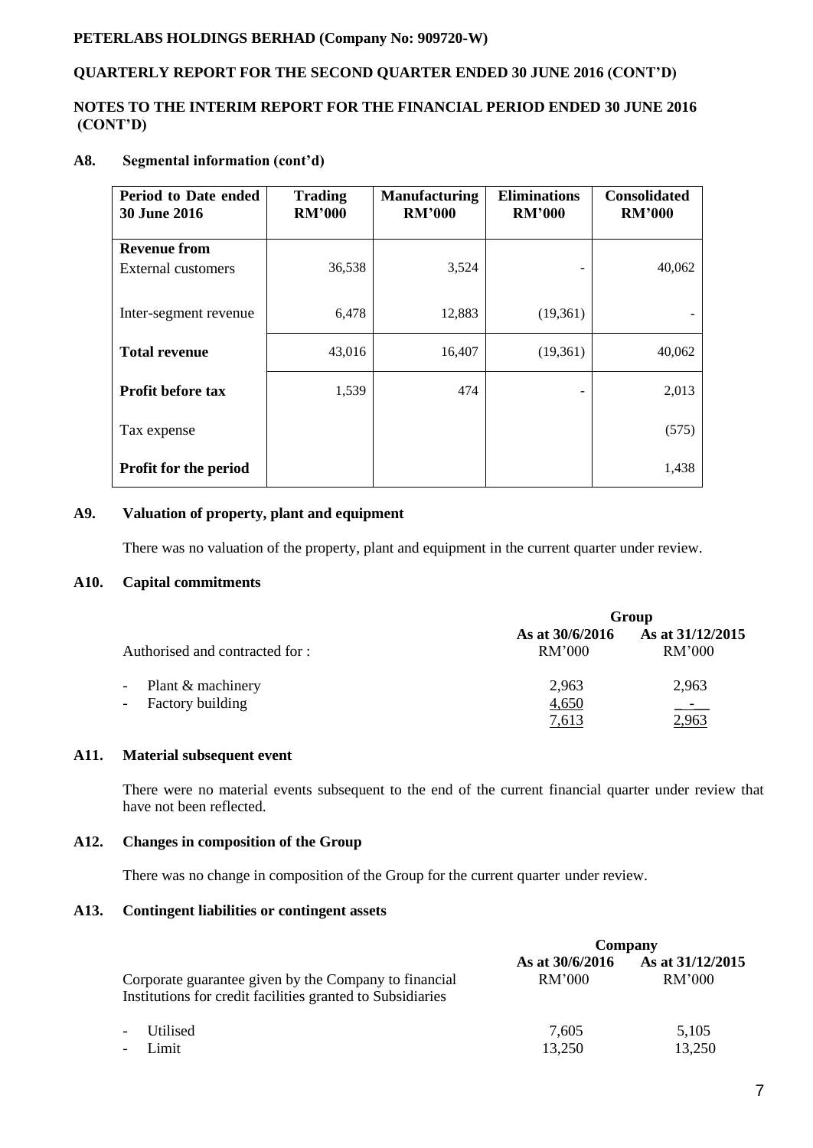# **QUARTERLY REPORT FOR THE SECOND QUARTER ENDED 30 JUNE 2016 (CONT'D)**

## **NOTES TO THE INTERIM REPORT FOR THE FINANCIAL PERIOD ENDED 30 JUNE 2016 (CONT'D)**

# **A8. Segmental information (cont'd)**

| Period to Date ended<br><b>30 June 2016</b> | <b>Trading</b><br><b>RM'000</b> | <b>Manufacturing</b><br><b>RM'000</b> | <b>Eliminations</b><br><b>RM'000</b> | <b>Consolidated</b><br><b>RM'000</b> |
|---------------------------------------------|---------------------------------|---------------------------------------|--------------------------------------|--------------------------------------|
| <b>Revenue from</b>                         |                                 |                                       |                                      |                                      |
| External customers                          | 36,538                          | 3,524                                 |                                      | 40,062                               |
| Inter-segment revenue                       | 6,478                           | 12,883                                | (19,361)                             |                                      |
| <b>Total revenue</b>                        | 43,016                          | 16,407                                | (19,361)                             | 40,062                               |
| <b>Profit before tax</b>                    | 1,539                           | 474                                   |                                      | 2,013                                |
| Tax expense                                 |                                 |                                       |                                      | (575)                                |
| Profit for the period                       |                                 |                                       |                                      | 1,438                                |

### **A9. Valuation of property, plant and equipment**

There was no valuation of the property, plant and equipment in the current quarter under review.

## **A10. Capital commitments**

|                                           | Group                     |                            |  |
|-------------------------------------------|---------------------------|----------------------------|--|
| Authorised and contracted for :           | As at 30/6/2016<br>RM'000 | As at 31/12/2015<br>RM'000 |  |
| - Plant & machinery<br>- Factory building | 2,963<br>4,650<br>7,613   | 2,963<br>للمتقلب<br>2,963  |  |

# **A11. Material subsequent event**

There were no material events subsequent to the end of the current financial quarter under review that have not been reflected.

## **A12. Changes in composition of the Group**

There was no change in composition of the Group for the current quarter under review.

### **A13. Contingent liabilities or contingent assets**

|                                                                                                                     | Company                   |                            |  |
|---------------------------------------------------------------------------------------------------------------------|---------------------------|----------------------------|--|
| Corporate guarantee given by the Company to financial<br>Institutions for credit facilities granted to Subsidiaries | As at 30/6/2016<br>RM'000 | As at 31/12/2015<br>RM'000 |  |
| Utilised<br>$\overline{\phantom{a}}$                                                                                | 7.605                     | 5,105                      |  |
| Limit<br>$\overline{\phantom{a}}$                                                                                   | 13,250                    | 13,250                     |  |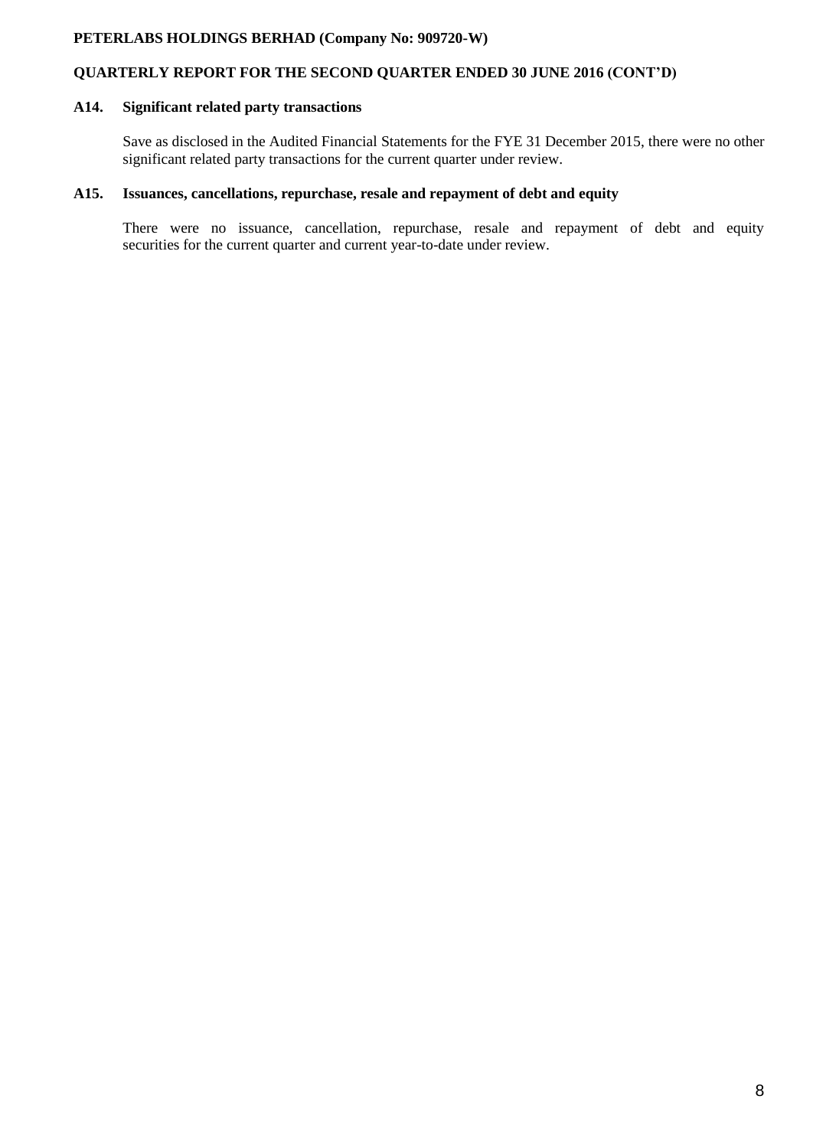# **QUARTERLY REPORT FOR THE SECOND QUARTER ENDED 30 JUNE 2016 (CONT'D)**

# **A14. Significant related party transactions**

Save as disclosed in the Audited Financial Statements for the FYE 31 December 2015, there were no other significant related party transactions for the current quarter under review.

## **A15. Issuances, cancellations, repurchase, resale and repayment of debt and equity**

There were no issuance, cancellation, repurchase, resale and repayment of debt and equity securities for the current quarter and current year-to-date under review.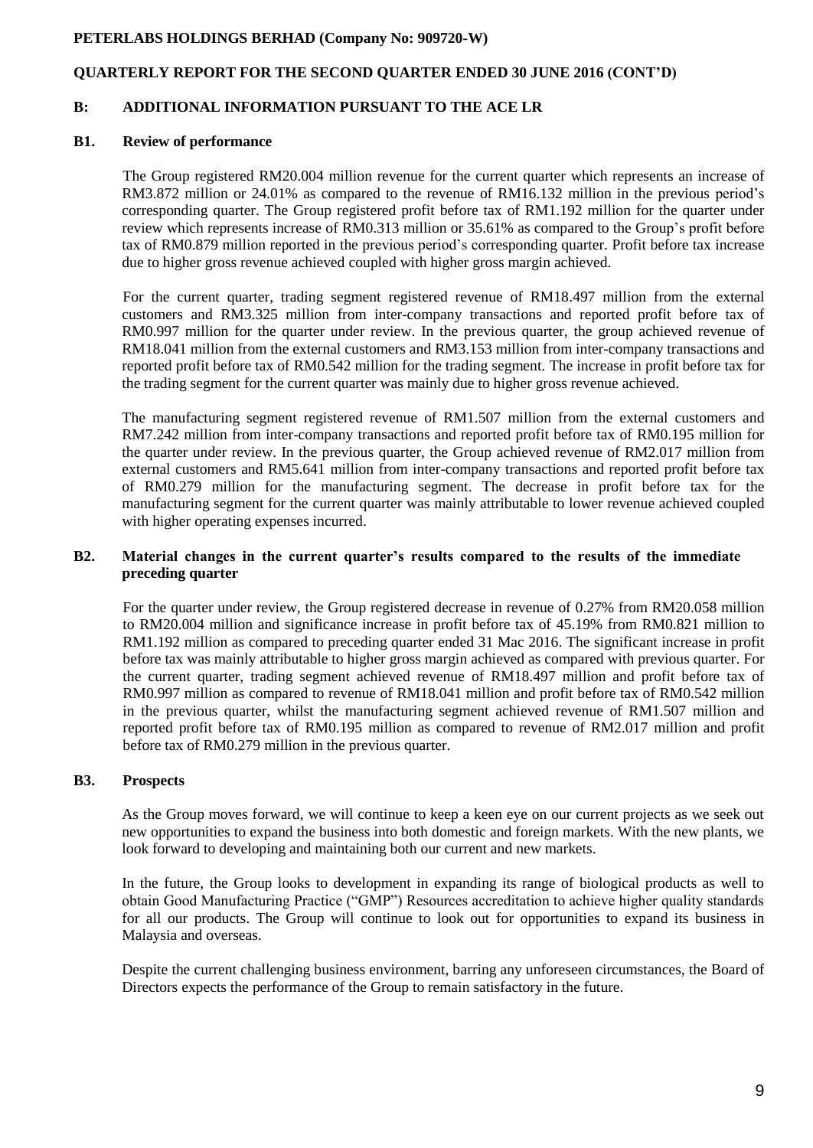## **QUARTERLY REPORT FOR THE SECOND QUARTER ENDED 30 JUNE 2016 (CONT'D)**

### **B: ADDITIONAL INFORMATION PURSUANT TO THE ACE LR**

### **B1. Review of performance**

The Group registered RM20.004 million revenue for the current quarter which represents an increase of RM3.872 million or 24.01% as compared to the revenue of RM16.132 million in the previous period's corresponding quarter. The Group registered profit before tax of RM1.192 million for the quarter under review which represents increase of RM0.313 million or 35.61% as compared to the Group's profit before tax of RM0.879 million reported in the previous period's corresponding quarter. Profit before tax increase due to higher gross revenue achieved coupled with higher gross margin achieved.

For the current quarter, trading segment registered revenue of RM18.497 million from the external customers and RM3.325 million from inter-company transactions and reported profit before tax of RM0.997 million for the quarter under review. In the previous quarter, the group achieved revenue of RM18.041 million from the external customers and RM3.153 million from inter-company transactions and reported profit before tax of RM0.542 million for the trading segment. The increase in profit before tax for the trading segment for the current quarter was mainly due to higher gross revenue achieved.

The manufacturing segment registered revenue of RM1.507 million from the external customers and RM7.242 million from inter-company transactions and reported profit before tax of RM0.195 million for the quarter under review. In the previous quarter, the Group achieved revenue of RM2.017 million from external customers and RM5.641 million from inter-company transactions and reported profit before tax of RM0.279 million for the manufacturing segment. The decrease in profit before tax for the manufacturing segment for the current quarter was mainly attributable to lower revenue achieved coupled with higher operating expenses incurred.

### **B2. Material changes in the current quarter's results compared to the results of the immediate preceding quarter**

For the quarter under review, the Group registered decrease in revenue of 0.27% from RM20.058 million to RM20.004 million and significance increase in profit before tax of 45.19% from RM0.821 million to RM1.192 million as compared to preceding quarter ended 31 Mac 2016. The significant increase in profit before tax was mainly attributable to higher gross margin achieved as compared with previous quarter. For the current quarter, trading segment achieved revenue of RM18.497 million and profit before tax of RM0.997 million as compared to revenue of RM18.041 million and profit before tax of RM0.542 million in the previous quarter, whilst the manufacturing segment achieved revenue of RM1.507 million and reported profit before tax of RM0.195 million as compared to revenue of RM2.017 million and profit before tax of RM0.279 million in the previous quarter.

### **B3. Prospects**

As the Group moves forward, we will continue to keep a keen eye on our current projects as we seek out new opportunities to expand the business into both domestic and foreign markets. With the new plants, we look forward to developing and maintaining both our current and new markets.

In the future, the Group looks to development in expanding its range of biological products as well to obtain Good Manufacturing Practice ("GMP") Resources accreditation to achieve higher quality standards for all our products. The Group will continue to look out for opportunities to expand its business in Malaysia and overseas.

Despite the current challenging business environment, barring any unforeseen circumstances, the Board of Directors expects the performance of the Group to remain satisfactory in the future.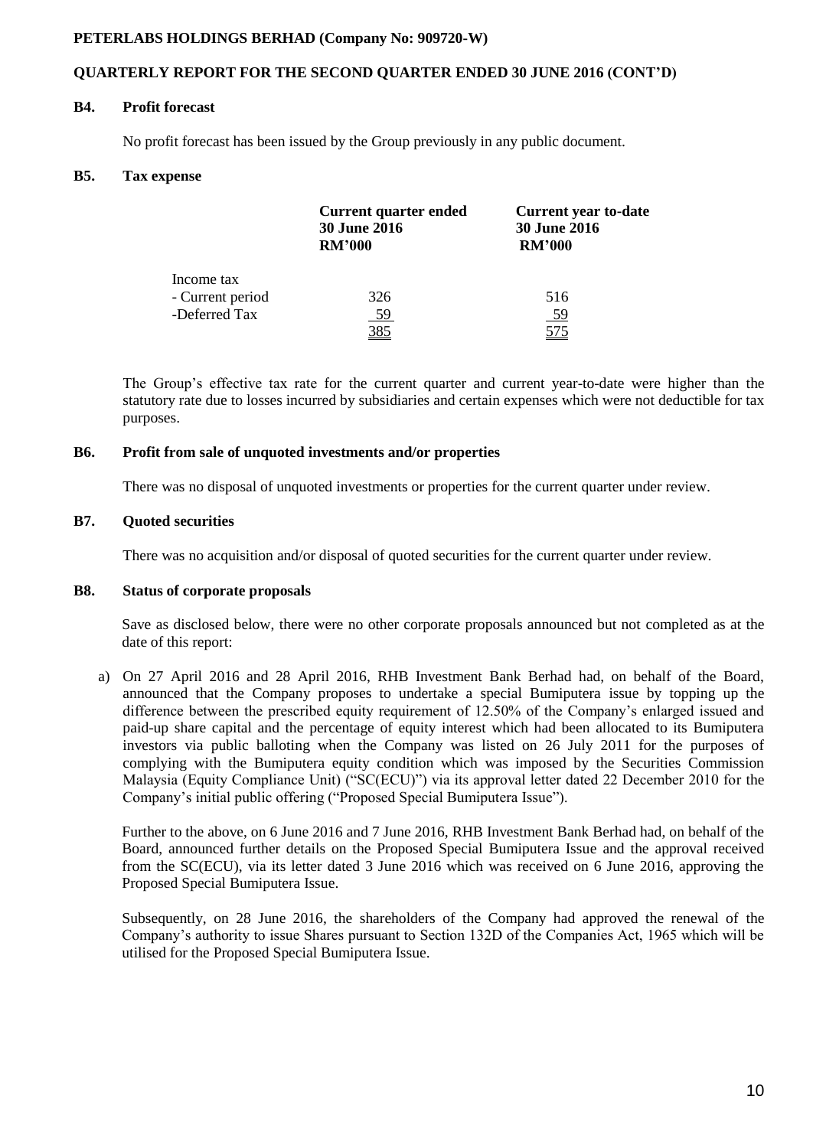## **QUARTERLY REPORT FOR THE SECOND QUARTER ENDED 30 JUNE 2016 (CONT'D)**

#### **B4. Profit forecast**

No profit forecast has been issued by the Group previously in any public document.

### **B5. Tax expense**

|                  | <b>Current quarter ended</b><br><b>30 June 2016</b><br><b>RM'000</b> | <b>Current year to-date</b><br><b>30 June 2016</b><br><b>RM'000</b> |  |
|------------------|----------------------------------------------------------------------|---------------------------------------------------------------------|--|
| Income tax       |                                                                      |                                                                     |  |
| - Current period | 326                                                                  | 516                                                                 |  |
| -Deferred Tax    | 59                                                                   | <u>59</u>                                                           |  |
|                  | <u>385</u>                                                           |                                                                     |  |

The Group's effective tax rate for the current quarter and current year-to-date were higher than the statutory rate due to losses incurred by subsidiaries and certain expenses which were not deductible for tax purposes.

#### **B6. Profit from sale of unquoted investments and/or properties**

There was no disposal of unquoted investments or properties for the current quarter under review.

### **B7. Quoted securities**

There was no acquisition and/or disposal of quoted securities for the current quarter under review.

## **B8. Status of corporate proposals**

Save as disclosed below, there were no other corporate proposals announced but not completed as at the date of this report:

a) On 27 April 2016 and 28 April 2016, RHB Investment Bank Berhad had, on behalf of the Board, announced that the Company proposes to undertake a special Bumiputera issue by topping up the difference between the prescribed equity requirement of 12.50% of the Company's enlarged issued and paid-up share capital and the percentage of equity interest which had been allocated to its Bumiputera investors via public balloting when the Company was listed on 26 July 2011 for the purposes of complying with the Bumiputera equity condition which was imposed by the Securities Commission Malaysia (Equity Compliance Unit) ("SC(ECU)") via its approval letter dated 22 December 2010 for the Company's initial public offering ("Proposed Special Bumiputera Issue").

Further to the above, on 6 June 2016 and 7 June 2016, RHB Investment Bank Berhad had, on behalf of the Board, announced further details on the Proposed Special Bumiputera Issue and the approval received from the SC(ECU), via its letter dated 3 June 2016 which was received on 6 June 2016, approving the Proposed Special Bumiputera Issue.

Subsequently, on 28 June 2016, the shareholders of the Company had approved the renewal of the Company's authority to issue Shares pursuant to Section 132D of the Companies Act, 1965 which will be utilised for the Proposed Special Bumiputera Issue.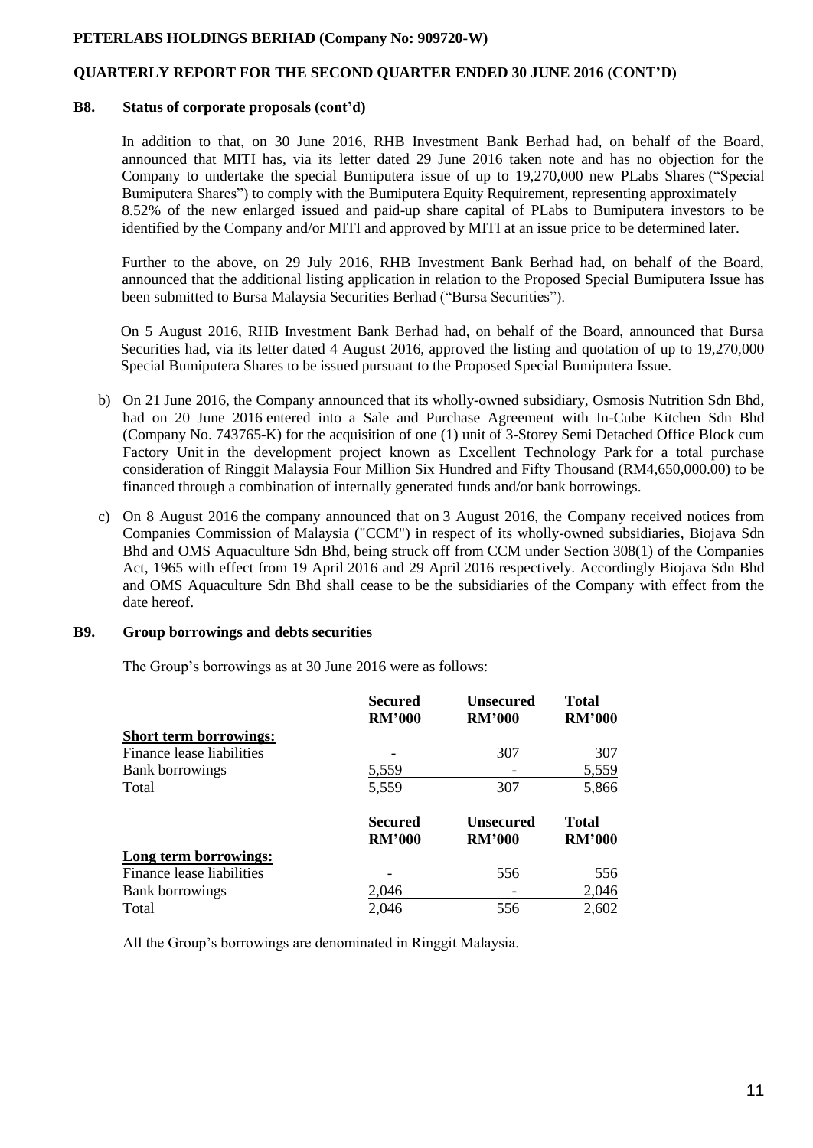## **QUARTERLY REPORT FOR THE SECOND QUARTER ENDED 30 JUNE 2016 (CONT'D)**

#### **B8. Status of corporate proposals (cont'd)**

In addition to that, on 30 June 2016, RHB Investment Bank Berhad had, on behalf of the Board, announced that MITI has, via its letter dated 29 June 2016 taken note and has no objection for the Company to undertake the special Bumiputera issue of up to 19,270,000 new PLabs Shares ("Special Bumiputera Shares") to comply with the Bumiputera Equity Requirement, representing approximately 8.52% of the new enlarged issued and paid-up share capital of PLabs to Bumiputera investors to be identified by the Company and/or MITI and approved by MITI at an issue price to be determined later.

Further to the above, on 29 July 2016, RHB Investment Bank Berhad had, on behalf of the Board, announced that the additional listing application in relation to the Proposed Special Bumiputera Issue has been submitted to Bursa Malaysia Securities Berhad ("Bursa Securities").

On 5 August 2016, RHB Investment Bank Berhad had, on behalf of the Board, announced that Bursa Securities had, via its letter dated 4 August 2016, approved the listing and quotation of up to 19,270,000 Special Bumiputera Shares to be issued pursuant to the Proposed Special Bumiputera Issue.

- b) On 21 June 2016, the Company announced that its wholly-owned subsidiary, Osmosis Nutrition Sdn Bhd, had on 20 June 2016 entered into a Sale and Purchase Agreement with In-Cube Kitchen Sdn Bhd (Company No. 743765-K) for the acquisition of one (1) unit of 3-Storey Semi Detached Office Block cum Factory Unit in the development project known as Excellent Technology Park for a total purchase consideration of Ringgit Malaysia Four Million Six Hundred and Fifty Thousand (RM4,650,000.00) to be financed through a combination of internally generated funds and/or bank borrowings.
- c) On 8 August 2016 the company announced that on 3 August 2016, the Company received notices from Companies Commission of Malaysia ("CCM") in respect of its wholly-owned subsidiaries, Biojava Sdn Bhd and OMS Aquaculture Sdn Bhd, being struck off from CCM under Section 308(1) of the Companies Act, 1965 with effect from 19 April 2016 and 29 April 2016 respectively. Accordingly Biojava Sdn Bhd and OMS Aquaculture Sdn Bhd shall cease to be the subsidiaries of the Company with effect from the date hereof.

### **B9. Group borrowings and debts securities**

The Group's borrowings as at 30 June 2016 were as follows:

|                               | <b>Secured</b><br><b>RM'000</b> | <b>Unsecured</b><br><b>RM'000</b> | <b>Total</b><br><b>RM'000</b> |
|-------------------------------|---------------------------------|-----------------------------------|-------------------------------|
| <b>Short term borrowings:</b> |                                 |                                   |                               |
| Finance lease liabilities     |                                 | 307                               | 307                           |
| Bank borrowings               | 5,559                           |                                   | 5,559                         |
| Total                         | 5,559                           | 307                               | 5,866                         |
|                               | <b>Secured</b><br><b>RM'000</b> | <b>Unsecured</b><br><b>RM'000</b> | <b>Total</b><br><b>RM'000</b> |
| Long term borrowings:         |                                 |                                   |                               |
| Finance lease liabilities     |                                 | 556                               | 556                           |
| Bank borrowings               | 2,046                           |                                   | 2,046                         |
| Total                         | 2,046                           | 556                               | 2,602                         |

All the Group's borrowings are denominated in Ringgit Malaysia.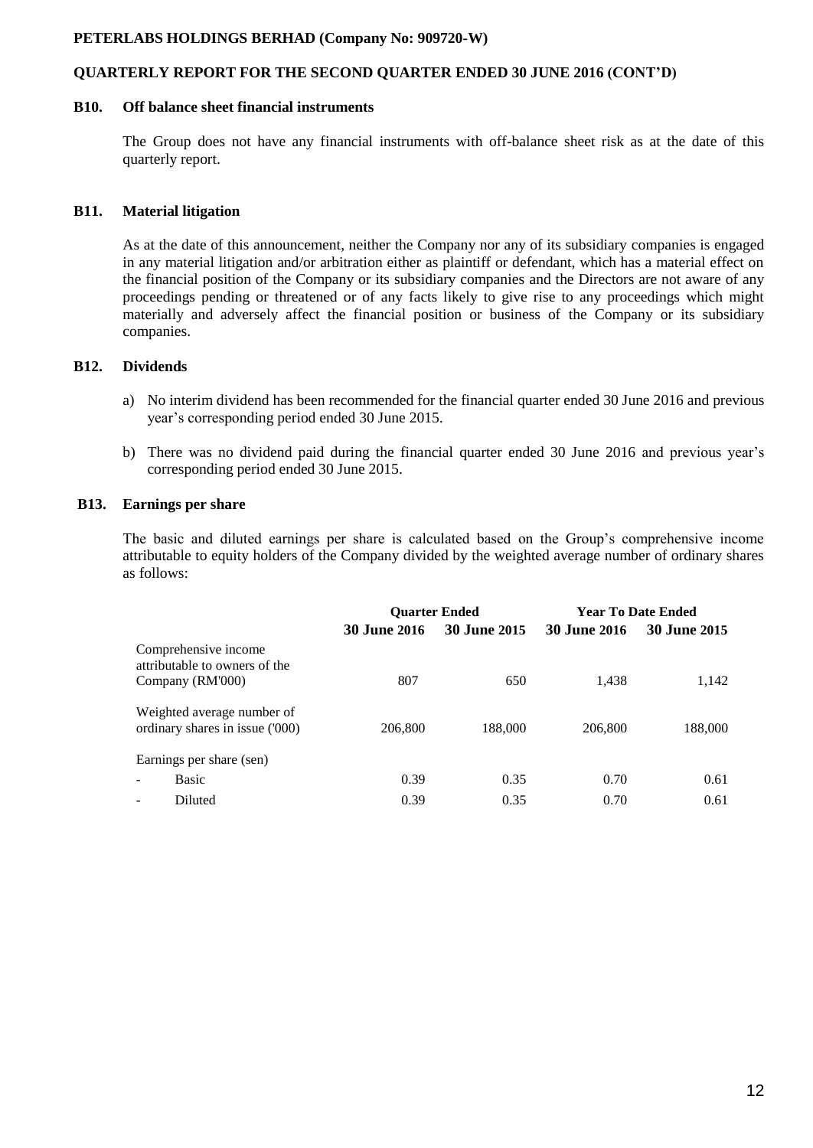## **QUARTERLY REPORT FOR THE SECOND QUARTER ENDED 30 JUNE 2016 (CONT'D)**

### **B10. Off balance sheet financial instruments**

The Group does not have any financial instruments with off-balance sheet risk as at the date of this quarterly report.

### **B11. Material litigation**

As at the date of this announcement, neither the Company nor any of its subsidiary companies is engaged in any material litigation and/or arbitration either as plaintiff or defendant, which has a material effect on the financial position of the Company or its subsidiary companies and the Directors are not aware of any proceedings pending or threatened or of any facts likely to give rise to any proceedings which might materially and adversely affect the financial position or business of the Company or its subsidiary companies.

## **B12. Dividends**

- a) No interim dividend has been recommended for the financial quarter ended 30 June 2016 and previous year's corresponding period ended 30 June 2015.
- b) There was no dividend paid during the financial quarter ended 30 June 2016 and previous year's corresponding period ended 30 June 2015.

### **B13. Earnings per share**

The basic and diluted earnings per share is calculated based on the Group's comprehensive income attributable to equity holders of the Company divided by the weighted average number of ordinary shares as follows:

|                                                               | <b>Ouarter Ended</b> |                     |                     | <b>Year To Date Ended</b> |
|---------------------------------------------------------------|----------------------|---------------------|---------------------|---------------------------|
|                                                               | <b>30 June 2016</b>  | <b>30 June 2015</b> | <b>30 June 2016</b> | <b>30 June 2015</b>       |
| Comprehensive income<br>attributable to owners of the         |                      |                     |                     |                           |
| Company (RM'000)                                              | 807                  | 650                 | 1,438               | 1,142                     |
| Weighted average number of<br>ordinary shares in issue ('000) | 206,800              | 188,000             | 206,800             | 188,000                   |
| Earnings per share (sen)                                      |                      |                     |                     |                           |
| <b>Basic</b>                                                  | 0.39                 | 0.35                | 0.70                | 0.61                      |
| Diluted                                                       | 0.39                 | 0.35                | 0.70                | 0.61                      |